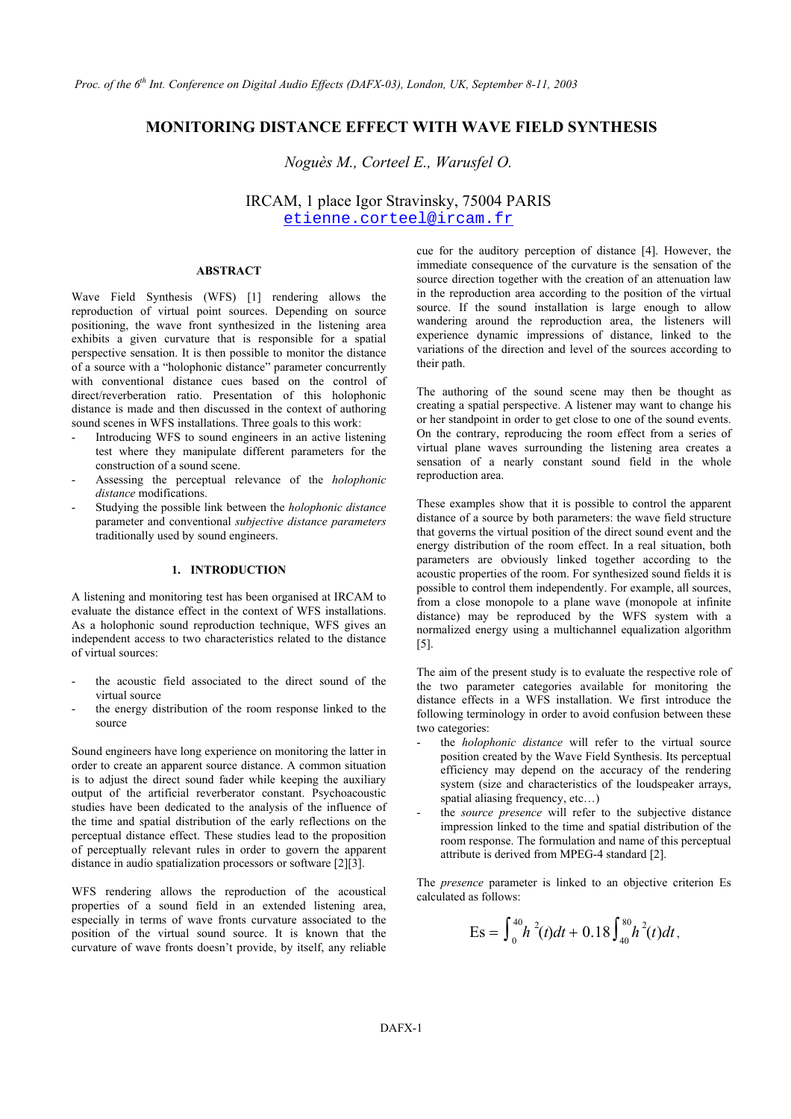# **MONITORING DISTANCE EFFECT WITH WAVE FIELD SYNTHESIS**

*Noguès M., Corteel E., Warusfel O.* 

IRCAM, 1 place Igor Stravinsky, 75004 PARIS [etienne.corteel@ircam.fr](mailto:etienne.corteel@ircam.fr)

# **ABSTRACT**

Wave Field Synthesis (WFS) [1] rendering allows the reproduction of virtual point sources. Depending on source positioning, the wave front synthesized in the listening area exhibits a given curvature that is responsible for a spatial perspective sensation. It is then possible to monitor the distance of a source with a "holophonic distance" parameter concurrently with conventional distance cues based on the control of direct/reverberation ratio. Presentation of this holophonic distance is made and then discussed in the context of authoring sound scenes in WFS installations. Three goals to this work:

- Introducing WFS to sound engineers in an active listening test where they manipulate different parameters for the construction of a sound scene.
- Assessing the perceptual relevance of the *holophonic distance* modifications.
- Studying the possible link between the *holophonic distance* parameter and conventional *subjective distance parameters* traditionally used by sound engineers.

### **1. INTRODUCTION**

A listening and monitoring test has been organised at IRCAM to evaluate the distance effect in the context of WFS installations. As a holophonic sound reproduction technique, WFS gives an independent access to two characteristics related to the distance of virtual sources:

- the acoustic field associated to the direct sound of the virtual source
- the energy distribution of the room response linked to the source

Sound engineers have long experience on monitoring the latter in order to create an apparent source distance. A common situation is to adjust the direct sound fader while keeping the auxiliary output of the artificial reverberator constant. Psychoacoustic studies have been dedicated to the analysis of the influence of the time and spatial distribution of the early reflections on the perceptual distance effect. These studies lead to the proposition of perceptually relevant rules in order to govern the apparent distance in audio spatialization processors or software [\[2\]](#page-3-0)[\[3\].](#page-3-1)

WFS rendering allows the reproduction of the acoustical properties of a sound field in an extended listening area, especially in terms of wave fronts curvature associated to the position of the virtual sound source. It is known that the curvature of wave fronts doesn't provide, by itself, any reliable

cue for the auditory perception of distance [\[4\].](#page-3-2) However, the immediate consequence of the curvature is the sensation of the source direction together with the creation of an attenuation law in the reproduction area according to the position of the virtual source. If the sound installation is large enough to allow wandering around the reproduction area, the listeners will experience dynamic impressions of distance, linked to the variations of the direction and level of the sources according to their path.

The authoring of the sound scene may then be thought as creating a spatial perspective. A listener may want to change his or her standpoint in order to get close to one of the sound events. On the contrary, reproducing the room effect from a series of virtual plane waves surrounding the listening area creates a sensation of a nearly constant sound field in the whole reproduction area.

These examples show that it is possible to control the apparent distance of a source by both parameters: the wave field structure that governs the virtual position of the direct sound event and the energy distribution of the room effect. In a real situation, both parameters are obviously linked together according to the acoustic properties of the room. For synthesized sound fields it is possible to control them independently. For example, all sources, from a close monopole to a plane wave (monopole at infinite distance) may be reproduced by the WFS system with a normalized energy using a multichannel equalization algorithm [\[5\].](#page-3-3)

The aim of the present study is to evaluate the respective role of the two parameter categories available for monitoring the distance effects in a WFS installation. We first introduce the following terminology in order to avoid confusion between these two categories:

- the *holophonic distance* will refer to the virtual source position created by the Wave Field Synthesis. Its perceptual efficiency may depend on the accuracy of the rendering system (size and characteristics of the loudspeaker arrays, spatial aliasing frequency, etc…)
- the *source presence* will refer to the subjective distance impression linked to the time and spatial distribution of the room response. The formulation and name of this perceptual attribute is derived from MPEG-4 standard [\[2\].](#page-3-0)

The *presence* parameter is linked to an objective criterion Es calculated as follows:

$$
Es = \int_0^{40} h^2(t)dt + 0.18 \int_{40}^{80} h^2(t)dt,
$$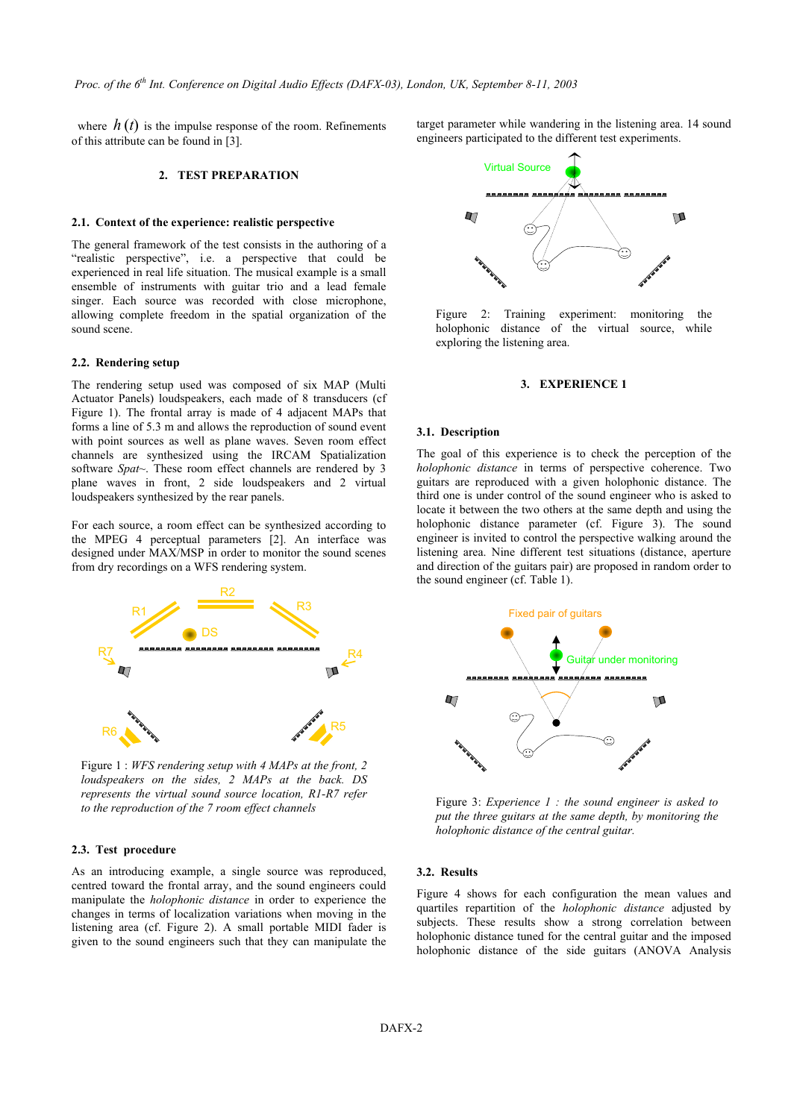where  $h(t)$  is the impulse response of the room. Refinements of this attribute can be found in [\[3\].](#page-3-1)

### **2. TEST PREPARATION**

## **2.1. Context of the experience: realistic perspective**

The general framework of the test consists in the authoring of a "realistic perspective", i.e. a perspective that could be experienced in real life situation. The musical example is a small ensemble of instruments with guitar trio and a lead female singer. Each source was recorded with close microphone, allowing complete freedom in the spatial organization of the sound scene.

# **2.2. Rendering setup**

The rendering setup used was composed of six MAP (Multi Actuator Panels) loudspeakers, each made of 8 transducers (cf Figure 1). The frontal array is made of 4 adjacent MAPs that forms a line of 5.3 m and allows the reproduction of sound event with point sources as well as plane waves. Seven room effect channels are synthesized using the IRCAM Spatialization software *Spat~*. These room effect channels are rendered by 3 plane waves in front, 2 side loudspeakers and 2 virtual loudspeakers synthesized by the rear panels.

For each source, a room effect can be synthesized according to the MPEG 4 perceptual parameters [\[2\].](#page-3-0) An interface was designed under MAX/MSP in order to monitor the sound scenes from dry recordings on a WFS rendering system.



Figure 1 : *WFS rendering setup with 4 MAPs at the front, 2 loudspeakers on the sides, 2 MAPs at the back. DS represents the virtual sound source location, R1-R7 refer to the reproduction of the 7 room effect channels*

## **2.3. Test procedure**

As an introducing example, a single source was reproduced, centred toward the frontal array, and the sound engineers could manipulate the *holophonic distance* in order to experience the changes in terms of localization variations when moving in the listening area (cf. [Figure 2\)](#page-1-0). A small portable MIDI fader is given to the sound engineers such that they can manipulate the target parameter while wandering in the listening area. 14 sound engineers participated to the different test experiments.



<span id="page-1-0"></span>Figure 2: Training experiment: monitoring the holophonic distance of the virtual source, while exploring the listening area.

# **3. EXPERIENCE 1**

#### **3.1. Description**

The goal of this experience is to check the perception of the *holophonic distance* in terms of perspective coherence. Two guitars are reproduced with a given holophonic distance. The third one is under control of the sound engineer who is asked to locate it between the two others at the same depth and using the holophonic distance parameter (cf. [Figure 3\)](#page-1-1). The sound engineer is invited to control the perspective walking around the listening area. Nine different test situations (distance, aperture and direction of the guitars pair) are proposed in random order to the sound engineer (cf. [Table 1\)](#page-2-0).



<span id="page-1-1"></span>Figure 3: *Experience 1 : the sound engineer is asked to put the three guitars at the same depth, by monitoring the holophonic distance of the central guitar.*

#### **3.2. Results**

[Figure 4](#page-2-1) shows for each configuration the mean values and quartiles repartition of the *holophonic distance* adjusted by subjects. These results show a strong correlation between holophonic distance tuned for the central guitar and the imposed holophonic distance of the side guitars (ANOVA Analysis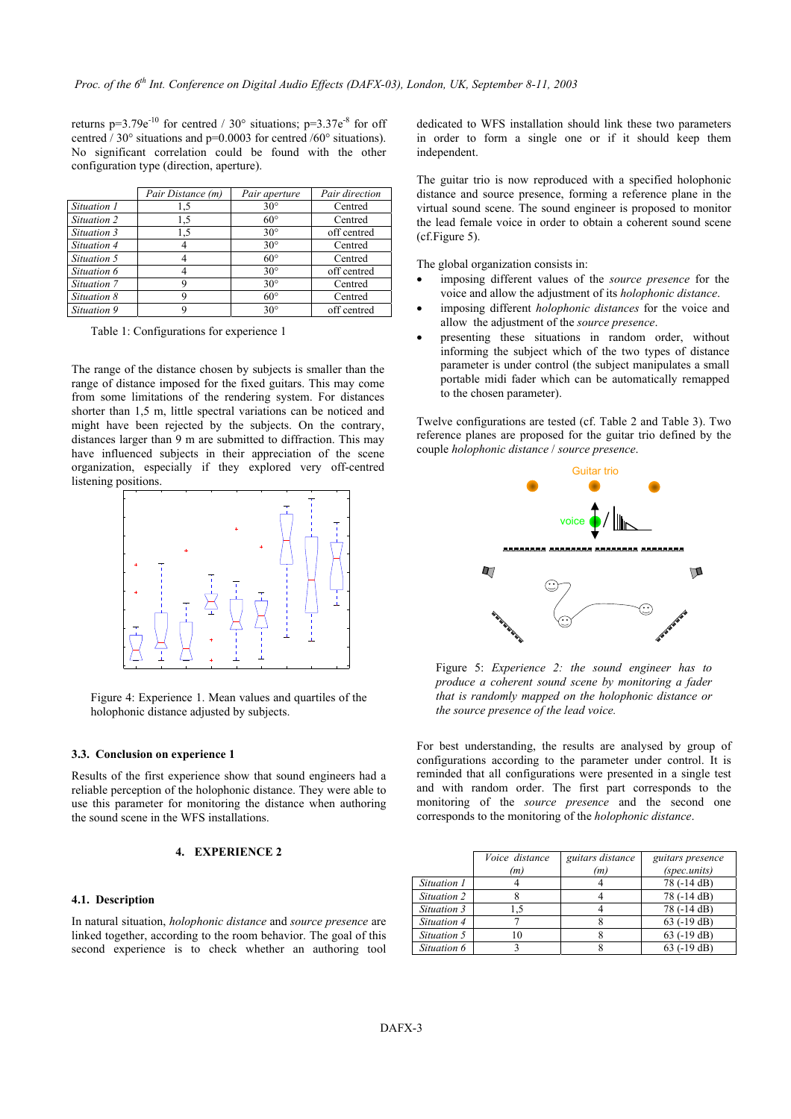returns  $p=3.79e^{-10}$  for centred / 30° situations;  $p=3.37e^{-8}$  for off centred / 30° situations and p=0.0003 for centred /60° situations). No significant correlation could be found with the other configuration type (direction, aperture).

|             | Pair Distance (m) | Pair aperture | Pair direction |
|-------------|-------------------|---------------|----------------|
| Situation 1 | 1,5               | $30^\circ$    | Centred        |
| Situation 2 | 1,5               | $60^\circ$    | Centred        |
| Situation 3 | 1,5               | $30^{\circ}$  | off centred    |
| Situation 4 |                   | $30^\circ$    | Centred        |
| Situation 5 |                   | $60^\circ$    | Centred        |
| Situation 6 |                   | $30^\circ$    | off centred    |
| Situation 7 |                   | $30^\circ$    | Centred        |
| Situation 8 |                   | $60^\circ$    | Centred        |
| Situation 9 |                   | $30^\circ$    | off centred    |

<span id="page-2-0"></span>Table 1: Configurations for experience 1

The range of the distance chosen by subjects is smaller than the range of distance imposed for the fixed guitars. This may come from some limitations of the rendering system. For distances shorter than 1,5 m, little spectral variations can be noticed and might have been rejected by the subjects. On the contrary, distances larger than 9 m are submitted to diffraction. This may have influenced subjects in their appreciation of the scene organization, especially if they explored very off-centred listening positions.

<span id="page-2-1"></span>

Figure 4: Experience 1. Mean values and quartiles of the holophonic distance adjusted by subjects.

## **3.3. Conclusion on experience 1**

Results of the first experience show that sound engineers had a reliable perception of the holophonic distance. They were able to use this parameter for monitoring the distance when authoring the sound scene in the WFS installations.

# **4. EXPERIENCE 2**

# **4.1. Description**

In natural situation, *holophonic distance* and *source presence* are linked together, according to the room behavior. The goal of this second experience is to check whether an authoring tool dedicated to WFS installation should link these two parameters in order to form a single one or if it should keep them independent.

The guitar trio is now reproduced with a specified holophonic distance and source presence, forming a reference plane in the virtual sound scene. The sound engineer is proposed to monitor the lead female voice in order to obtain a coherent sound scene (cf.[Figure 5\)](#page-2-2).

The global organization consists in:

- imposing different values of the *source presence* for the voice and allow the adjustment of its *holophonic distance*.
- imposing different *holophonic distances* for the voice and allow the adjustment of the *source presence*.
- presenting these situations in random order, without informing the subject which of the two types of distance parameter is under control (the subject manipulates a small portable midi fader which can be automatically remapped to the chosen parameter).

Twelve configurations are tested (cf. [Table 2](#page-3-4) and [Table 3\)](#page-3-5). Two reference planes are proposed for the guitar trio defined by the couple *holophonic distance* / *source presence*.



<span id="page-2-2"></span>Figure 5: *Experience 2: the sound engineer has to produce a coherent sound scene by monitoring a fader that is randomly mapped on the holophonic distance or the source presence of the lead voice.*

For best understanding, the results are analysed by group of configurations according to the parameter under control. It is reminded that all configurations were presented in a single test and with random order. The first part corresponds to the monitoring of the *source presence* and the second one corresponds to the monitoring of the *holophonic distance*.

|             | <i>Voice distance</i><br>(m) | guitars distance<br>(m) | guitars presence<br>(spec.units) |
|-------------|------------------------------|-------------------------|----------------------------------|
|             |                              |                         |                                  |
| Situation 1 |                              |                         | 78 (-14 dB)                      |
| Situation 2 |                              |                         | 78 (-14 dB)                      |
| Situation 3 | .5                           |                         | 78 (-14 dB)                      |
| Situation 4 |                              |                         | $63$ ( $-19$ dB)                 |
| Situation 5 | ۱۵                           |                         | $63$ ( $-19$ dB)                 |
| Situation 6 |                              |                         | $63$ ( $-19$ dB)                 |